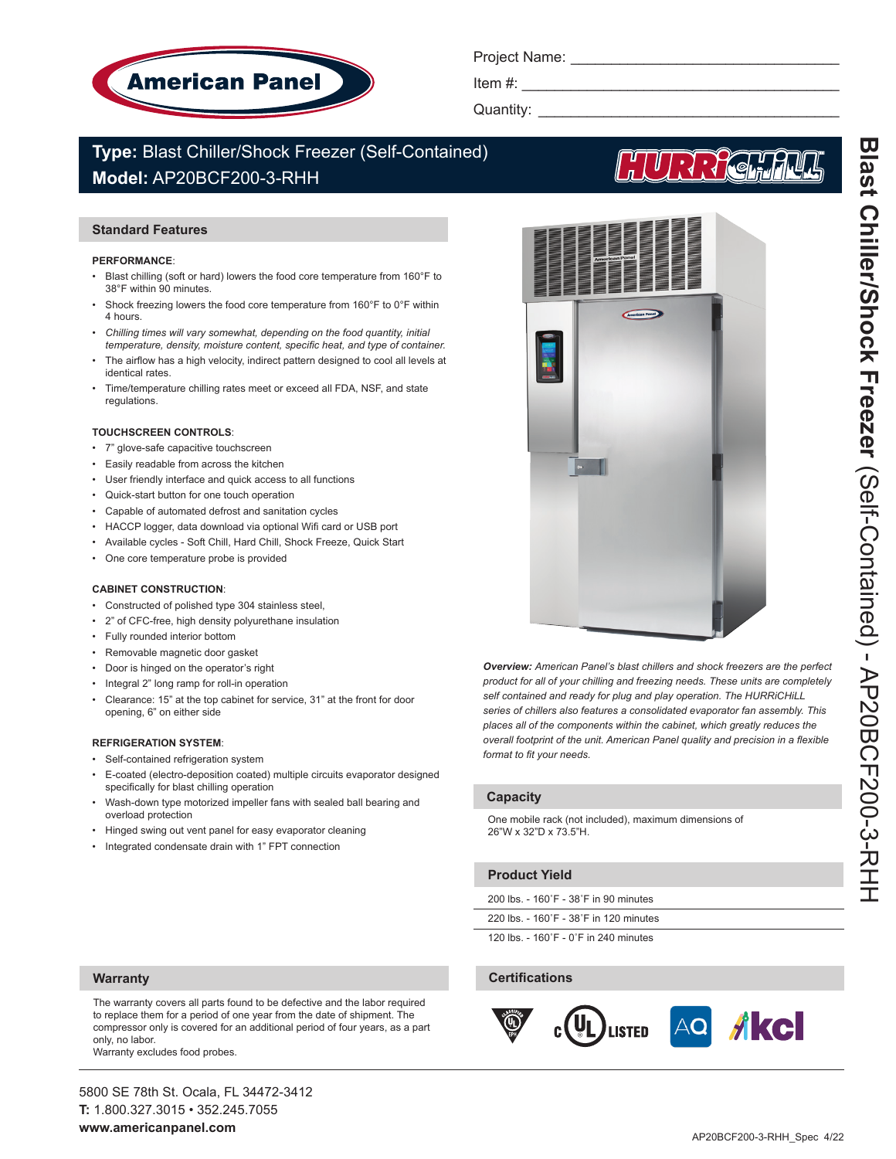

Project Name:

Item  $#$ :

Quantity: \_

# **Type:** Blast Chiller/Shock Freezer (Self-Contained) **Model:** AP20BCF200-3-RHH

# **Standard Features**

#### **PERFORMANCE**:

- Blast chilling (soft or hard) lowers the food core temperature from 160°F to 38°F within 90 minutes.
- Shock freezing lowers the food core temperature from 160°F to 0°F within 4 hours.
- Chilling times will vary somewhat, depending on the food quantity, initial *temperature, density, moisture content, specific heat, and type of container.*
- The airflow has a high velocity, indirect pattern designed to cool all levels at identical rates.
- Time/temperature chilling rates meet or exceed all FDA, NSF, and state regulations.

#### **TOUCHSCREEN CONTROLS**:

- 7" glove-safe capacitive touchscreen
- Easily readable from across the kitchen
- User friendly interface and quick access to all functions
- Quick-start button for one touch operation
- Capable of automated defrost and sanitation cycles
- HACCP logger, data download via optional Wifi card or USB port
- Available cycles Soft Chill, Hard Chill, Shock Freeze, Quick Start
- One core temperature probe is provided

#### **CABINET CONSTRUCTION**:

- Constructed of polished type 304 stainless steel,
- 2" of CFC-free, high density polyurethane insulation
- Fully rounded interior bottom
- Removable magnetic door gasket
- Door is hinged on the operator's right
- Integral 2" long ramp for roll-in operation
- Clearance: 15" at the top cabinet for service, 31" at the front for door opening, 6" on either side

#### **REFRIGERATION SYSTEM**:

- Self-contained refrigeration system
- E-coated (electro-deposition coated) multiple circuits evaporator designed specifically for blast chilling operation
- Wash-down type motorized impeller fans with sealed ball bearing and overload protection
- Hinged swing out vent panel for easy evaporator cleaning
- Integrated condensate drain with 1" FPT connection



*Overview: American Panel's blast chillers and shock freezers are the perfect product for all of your chilling and freezing needs. These units are completely self contained and ready for plug and play operation. The HURRiCHiLL series of chillers also features a consolidated evaporator fan assembly. This places all of the components within the cabinet, which greatly reduces the overall footprint of the unit. American Panel quality and precision in a flexible format to fit your needs.* 

# **Capacity**

One mobile rack (not included), maximum dimensions of 26"W x 32"D x 73.5"H.

### **Product Yield**

220 lbs. - 160˚F - 38˚F in 120 minutes

120 lbs. - 160˚F - 0˚F in 240 minutes

### **Certifications**



**Warranty**

The warranty covers all parts found to be defective and the labor required to replace them for a period of one year from the date of shipment. The compressor only is covered for an additional period of four years, as a part only, no labor.

Warranty excludes food probes.

5800 SE 78th St. Ocala, FL 34472-3412 **T:** 1.800.327.3015 • 352.245.7055 **www.americanpanel.com**